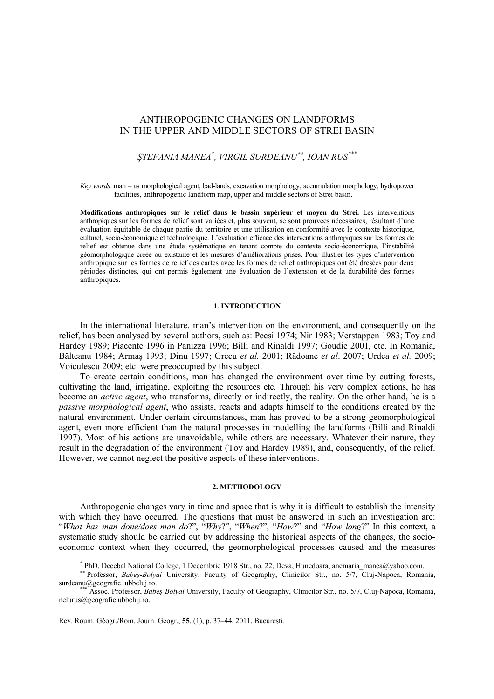## ANTHROPOGENIC CHANGES ON LANDFORMS IN THE UPPER AND MIDDLE SECTORS OF STREI BASIN

# *ŞTEFANIA MANEA\* , VIRGIL SURDEANU*∗∗ *, IOAN RUS\*\*\**

*Key words*: man – as morphological agent, bad-lands, excavation morphology, accumulation morphology, hydropower facilities, anthropogenic landform map, upper and middle sectors of Strei basin.

**Modifications anthropiques sur le relief dans le bassin supérieur et moyen du Strei.** Les interventions anthropiques sur les formes de relief sont variées et, plus souvent, se sont prouvées nécessaires, résultant d'une évaluation équitable de chaque partie du territoire et une utilisation en conformité avec le contexte historique, culturel, socio-économique et technologique. L'évaluation efficace des interventions anthropiques sur les formes de relief est obtenue dans une étude systématique en tenant compte du contexte socio-économique, l'instabilité géomorphologique créée ou existante et les mesures d'améliorations prises. Pour illustrer les types d'intervention anthropique sur les formes de relief des cartes avec les formes de relief anthropiques ont été dresées pour deux périodes distinctes, qui ont permis également une évaluation de l'extension et de la durabilité des formes anthropiques.

## **1. INTRODUCTION**

In the international literature, man's intervention on the environment, and consequently on the relief, has been analysed by several authors, such as: Pecsi 1974; Nir 1983; Verstappen 1983; Toy and Hardey 1989; Piacente 1996 in Panizza 1996; Billi and Rinaldi 1997; Goudie 2001, etc. In Romania, Bălteanu 1984; Armaş 1993; Dinu 1997; Grecu *et al.* 2001; Rădoane *et al*. 2007; Urdea *et al.* 2009; Voiculescu 2009; etc. were preoccupied by this subject.

To create certain conditions, man has changed the environment over time by cutting forests, cultivating the land, irrigating, exploiting the resources etc. Through his very complex actions, he has become an *active agent*, who transforms, directly or indirectly, the reality. On the other hand, he is a *passive morphological agent*, who assists, reacts and adapts himself to the conditions created by the natural environment. Under certain circumstances, man has proved to be a strong geomorphological agent, even more efficient than the natural processes in modelling the landforms (Billi and Rinaldi 1997). Most of his actions are unavoidable, while others are necessary. Whatever their nature, they result in the degradation of the environment (Toy and Hardey 1989), and, consequently, of the relief. However, we cannot neglect the positive aspects of these interventions.

### **2. METHODOLOGY**

Anthropogenic changes vary in time and space that is why it is difficult to establish the intensity with which they have occurred. The questions that must be answered in such an investigation are: "*What has man done/does man do*?", "*Why*?", "*When*?", "*How*?" and "*How long*?" In this context, a systematic study should be carried out by addressing the historical aspects of the changes, the socioeconomic context when they occurred, the geomorphological processes caused and the measures

Rev. Roum. Géogr./Rom. Journ. Geogr., **55**, (1), p. 37–44, 2011, Bucureşti.

 $\overline{\phantom{a}}$ 

*<sup>\*</sup>* PhD, Decebal National College, 1 Decembrie 1918 Str., no. 22, Deva, Hunedoara, anemaria\_manea@yahoo.com.<br>*∗∗* Professor, *Babeş-Bolyai* University, Faculty of Geography, Clinicilor Str., no. 5/7, Cluj-Napoca, Romania

Assoc. Professor, *Babeş-Bolyai* University, Faculty of Geography, Clinicilor Str., no. 5/7, Cluj-Napoca, Romania, nelurus@geografie.ubbcluj.ro.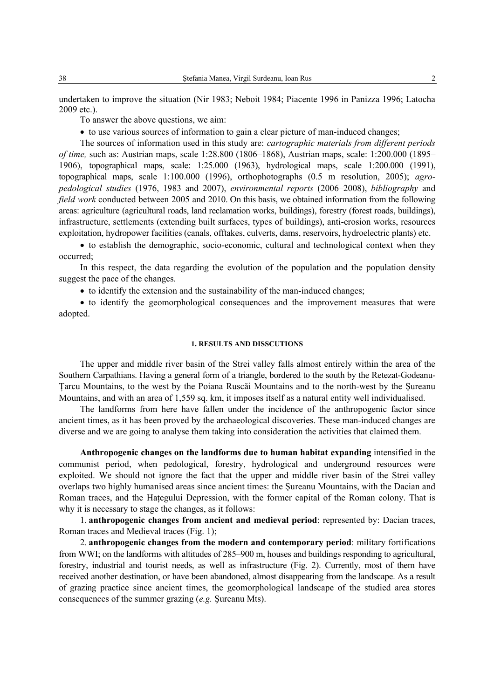undertaken to improve the situation (Nir 1983; Neboit 1984; Piacente 1996 in Panizza 1996; Latocha 2009 etc.).

To answer the above questions, we aim:

• to use various sources of information to gain a clear picture of man-induced changes;

The sources of information used in this study are: *cartographic materials from different periods of time,* such as: Austrian maps, scale 1:28.800 (1806–1868), Austrian maps, scale: 1:200.000 (1895– 1906), topographical maps, scale: 1:25.000 (1963), hydrological maps, scale 1:200.000 (1991), topographical maps, scale 1:100.000 (1996), orthophotographs (0.5 m resolution, 2005); *agropedological studies* (1976, 1983 and 2007), *environmental reports* (2006–2008), *bibliography* and *field work* conducted between 2005 and 2010. On this basis, we obtained information from the following areas: agriculture (agricultural roads, land reclamation works, buildings), forestry (forest roads, buildings), infrastructure, settlements (extending built surfaces, types of buildings), anti-erosion works, resources exploitation, hydropower facilities (canals, offtakes, culverts, dams, reservoirs, hydroelectric plants) etc.

• to establish the demographic, socio-economic, cultural and technological context when they occurred;

In this respect, the data regarding the evolution of the population and the population density suggest the pace of the changes.

• to identify the extension and the sustainability of the man-induced changes;

• to identify the geomorphological consequences and the improvement measures that were adopted.

## **1. RESULTS AND DISSCUTIONS**

The upper and middle river basin of the Strei valley falls almost entirely within the area of the Southern Carpathians. Having a general form of a triangle, bordered to the south by the Retezat-Godeanu-Ţarcu Mountains, to the west by the Poiana Ruscăi Mountains and to the north-west by the Şureanu Mountains, and with an area of 1,559 sq. km, it imposes itself as a natural entity well individualised.

The landforms from here have fallen under the incidence of the anthropogenic factor since ancient times, as it has been proved by the archaeological discoveries. These man-induced changes are diverse and we are going to analyse them taking into consideration the activities that claimed them.

**Anthropogenic changes on the landforms due to human habitat expanding** intensified in the communist period, when pedological, forestry, hydrological and underground resources were exploited. We should not ignore the fact that the upper and middle river basin of the Strei valley overlaps two highly humanised areas since ancient times: the Şureanu Mountains, with the Dacian and Roman traces, and the Hategului Depression, with the former capital of the Roman colony. That is why it is necessary to stage the changes, as it follows:

1. **anthropogenic changes from ancient and medieval period**: represented by: Dacian traces, Roman traces and Medieval traces (Fig. 1);

2. **anthropogenic changes from the modern and contemporary period**: military fortifications from WWI; on the landforms with altitudes of 285–900 m, houses and buildings responding to agricultural, forestry, industrial and tourist needs, as well as infrastructure (Fig. 2). Currently, most of them have received another destination, or have been abandoned, almost disappearing from the landscape. As a result of grazing practice since ancient times, the geomorphological landscape of the studied area stores consequences of the summer grazing (*e.g.* Şureanu Mts).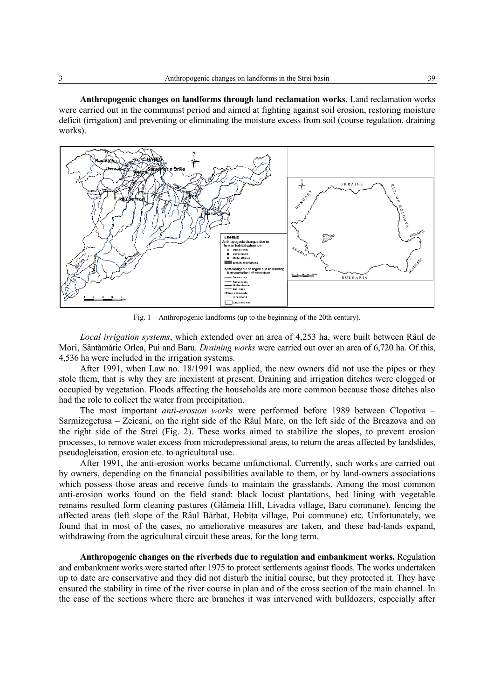**Anthropogenic changes on landforms through land reclamation works**. Land reclamation works were carried out in the communist period and aimed at fighting against soil erosion, restoring moisture deficit (irrigation) and preventing or eliminating the moisture excess from soil (course regulation, draining works).



Fig. 1 – Anthropogenic landforms (up to the beginning of the 20th century).

*Local irrigation systems*, which extended over an area of 4,253 ha, were built between Râul de Mori, Sântămărie Orlea, Pui and Baru. *Draining works* were carried out over an area of 6,720 ha. Of this, 4,536 ha were included in the irrigation systems.

After 1991, when Law no. 18/1991 was applied, the new owners did not use the pipes or they stole them, that is why they are inexistent at present. Draining and irrigation ditches were clogged or occupied by vegetation. Floods affecting the households are more common because those ditches also had the role to collect the water from precipitation.

The most important *anti-erosion works* were performed before 1989 between Clopotiva – Sarmizegetusa – Zeicani, on the right side of the Râul Mare, on the left side of the Breazova and on the right side of the Strei (Fig. 2). These works aimed to stabilize the slopes, to prevent erosion processes, to remove water excess from microdepressional areas, to return the areas affected by landslides, pseudogleisation, erosion etc. to agricultural use.

After 1991, the anti-erosion works became unfunctional. Currently, such works are carried out by owners, depending on the financial possibilities available to them, or by land-owners associations which possess those areas and receive funds to maintain the grasslands. Among the most common anti-erosion works found on the field stand: black locust plantations, bed lining with vegetable remains resulted form cleaning pastures (Glămeia Hill, Livadia village, Baru commune), fencing the affected areas (left slope of the Râul Bărbat, Hobita village, Pui commune) etc. Unfortunately, we found that in most of the cases, no ameliorative measures are taken, and these bad-lands expand, withdrawing from the agricultural circuit these areas, for the long term.

**Anthropogenic changes on the riverbeds due to regulation and embankment works.** Regulation and embankment works were started after 1975 to protect settlements against floods. The works undertaken up to date are conservative and they did not disturb the initial course, but they protected it. They have ensured the stability in time of the river course in plan and of the cross section of the main channel. In the case of the sections where there are branches it was intervened with bulldozers, especially after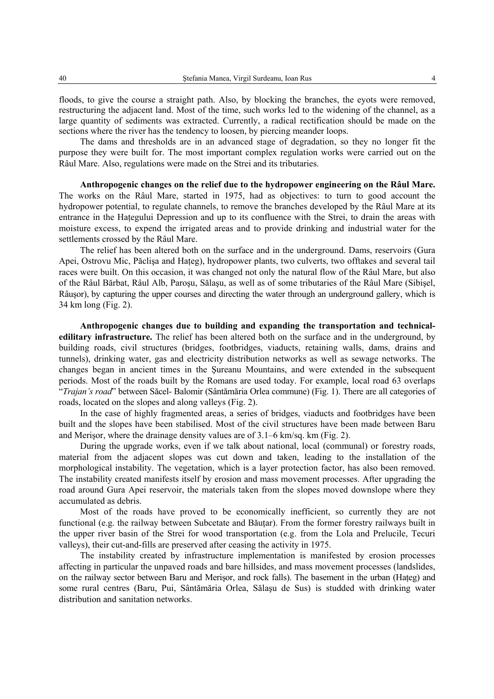floods, to give the course a straight path. Also, by blocking the branches, the eyots were removed, restructuring the adjacent land. Most of the time, such works led to the widening of the channel, as a large quantity of sediments was extracted. Currently, a radical rectification should be made on the sections where the river has the tendency to loosen, by piercing meander loops.

The dams and thresholds are in an advanced stage of degradation, so they no longer fit the purpose they were built for. The most important complex regulation works were carried out on the Râul Mare. Also, regulations were made on the Strei and its tributaries.

**Anthropogenic changes on the relief due to the hydropower engineering on the Râul Mare.**  The works on the Râul Mare, started in 1975, had as objectives: to turn to good account the hydropower potential, to regulate channels, to remove the branches developed by the Râul Mare at its entrance in the Hategului Depression and up to its confluence with the Strei, to drain the areas with moisture excess, to expend the irrigated areas and to provide drinking and industrial water for the settlements crossed by the Râul Mare.

The relief has been altered both on the surface and in the underground. Dams, reservoirs (Gura Apei, Ostrovu Mic, Păclisa and Hateg), hydropower plants, two culverts, two offtakes and several tail races were built. On this occasion, it was changed not only the natural flow of the Râul Mare, but also of the Râul Bărbat, Râul Alb, Paroşu, Sălaşu, as well as of some tributaries of the Râul Mare (Sibişel, Râuşor), by capturing the upper courses and directing the water through an underground gallery, which is 34 km long (Fig. 2).

**Anthropogenic changes due to building and expanding the transportation and technicaledilitary infrastructure.** The relief has been altered both on the surface and in the underground, by building roads, civil structures (bridges, footbridges, viaducts, retaining walls, dams, drains and tunnels), drinking water, gas and electricity distribution networks as well as sewage networks. The changes began in ancient times in the Şureanu Mountains, and were extended in the subsequent periods. Most of the roads built by the Romans are used today. For example, local road 63 overlaps "*Trajan's road*" between Săcel- Balomir (Sântămăria Orlea commune) (Fig. 1). There are all categories of roads, located on the slopes and along valleys (Fig. 2).

In the case of highly fragmented areas, a series of bridges, viaducts and footbridges have been built and the slopes have been stabilised. Most of the civil structures have been made between Baru and Merişor, where the drainage density values are of 3.1–6 km/sq. km (Fig. 2).

During the upgrade works, even if we talk about national, local (communal) or forestry roads, material from the adjacent slopes was cut down and taken, leading to the installation of the morphological instability. The vegetation, which is a layer protection factor, has also been removed. The instability created manifests itself by erosion and mass movement processes. After upgrading the road around Gura Apei reservoir, the materials taken from the slopes moved downslope where they accumulated as debris.

Most of the roads have proved to be economically inefficient, so currently they are not functional (e.g. the railway between Subcetate and Băuțar). From the former forestry railways built in the upper river basin of the Strei for wood transportation (e.g. from the Lola and Prelucile, Tecuri valleys), their cut-and-fills are preserved after ceasing the activity in 1975.

The instability created by infrastructure implementation is manifested by erosion processes affecting in particular the unpaved roads and bare hillsides, and mass movement processes (landslides, on the railway sector between Baru and Merisor, and rock falls). The basement in the urban (Hateg) and some rural centres (Baru, Pui, Sântămăria Orlea, Sălaşu de Sus) is studded with drinking water distribution and sanitation networks.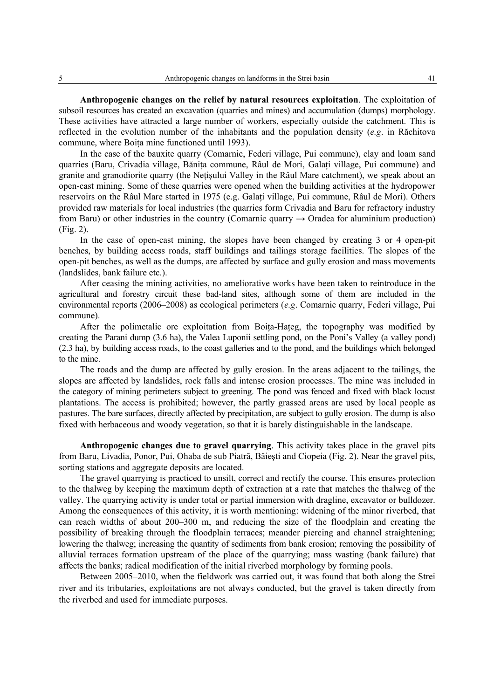**Anthropogenic changes on the relief by natural resources exploitation**. The exploitation of subsoil resources has created an excavation (quarries and mines) and accumulation (dumps) morphology. These activities have attracted a large number of workers, especially outside the catchment. This is reflected in the evolution number of the inhabitants and the population density (*e.g*. in Răchitova commune, where Boita mine functioned until 1993).

In the case of the bauxite quarry (Comarnic, Federi village, Pui commune), clay and loam sand quarries (Baru, Crivadia village, Băniţa commune, Râul de Mori, Galaţi village, Pui commune) and granite and granodiorite quarry (the Neţişului Valley in the Râul Mare catchment), we speak about an open-cast mining. Some of these quarries were opened when the building activities at the hydropower reservoirs on the Râul Mare started in 1975 (e.g. Galati village, Pui commune, Râul de Mori). Others provided raw materials for local industries (the quarries form Crivadia and Baru for refractory industry from Baru) or other industries in the country (Comarnic quarry  $\rightarrow$  Oradea for aluminium production) (Fig. 2).

In the case of open-cast mining, the slopes have been changed by creating 3 or 4 open-pit benches, by building access roads, staff buildings and tailings storage facilities. The slopes of the open-pit benches, as well as the dumps, are affected by surface and gully erosion and mass movements (landslides, bank failure etc.).

After ceasing the mining activities, no ameliorative works have been taken to reintroduce in the agricultural and forestry circuit these bad-land sites, although some of them are included in the environmental reports (2006–2008) as ecological perimeters (*e.g*. Comarnic quarry, Federi village, Pui commune).

After the polimetalic ore exploitation from Boita-Hateg, the topography was modified by creating the Parani dump (3.6 ha), the Valea Luponii settling pond, on the Poni's Valley (a valley pond) (2.3 ha), by building access roads, to the coast galleries and to the pond, and the buildings which belonged to the mine.

The roads and the dump are affected by gully erosion. In the areas adjacent to the tailings, the slopes are affected by landslides, rock falls and intense erosion processes. The mine was included in the category of mining perimeters subject to greening. The pond was fenced and fixed with black locust plantations. The access is prohibited; however, the partly grassed areas are used by local people as pastures. The bare surfaces, directly affected by precipitation, are subject to gully erosion. The dump is also fixed with herbaceous and woody vegetation, so that it is barely distinguishable in the landscape.

**Anthropogenic changes due to gravel quarrying**. This activity takes place in the gravel pits from Baru, Livadia, Ponor, Pui, Ohaba de sub Piatră, Băieşti and Ciopeia (Fig. 2). Near the gravel pits, sorting stations and aggregate deposits are located.

The gravel quarrying is practiced to unsilt, correct and rectify the course. This ensures protection to the thalweg by keeping the maximum depth of extraction at a rate that matches the thalweg of the valley. The quarrying activity is under total or partial immersion with dragline, excavator or bulldozer. Among the consequences of this activity, it is worth mentioning: widening of the minor riverbed, that can reach widths of about 200–300 m, and reducing the size of the floodplain and creating the possibility of breaking through the floodplain terraces; meander piercing and channel straightening; lowering the thalweg; increasing the quantity of sediments from bank erosion; removing the possibility of alluvial terraces formation upstream of the place of the quarrying; mass wasting (bank failure) that affects the banks; radical modification of the initial riverbed morphology by forming pools.

Between 2005–2010, when the fieldwork was carried out, it was found that both along the Strei river and its tributaries, exploitations are not always conducted, but the gravel is taken directly from the riverbed and used for immediate purposes.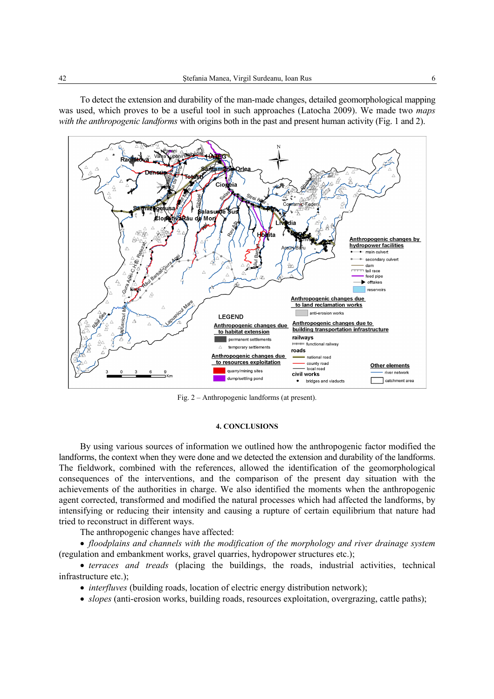To detect the extension and durability of the man-made changes, detailed geomorphological mapping was used, which proves to be a useful tool in such approaches (Latocha 2009). We made two *maps with the anthropogenic landforms* with origins both in the past and present human activity (Fig. 1 and 2).



Fig. 2 – Anthropogenic landforms (at present).

#### **4. CONCLUSIONS**

By using various sources of information we outlined how the anthropogenic factor modified the landforms, the context when they were done and we detected the extension and durability of the landforms. The fieldwork, combined with the references, allowed the identification of the geomorphological consequences of the interventions, and the comparison of the present day situation with the achievements of the authorities in charge. We also identified the moments when the anthropogenic agent corrected, transformed and modified the natural processes which had affected the landforms, by intensifying or reducing their intensity and causing a rupture of certain equilibrium that nature had tried to reconstruct in different ways.

The anthropogenic changes have affected:

• *floodplains and channels with the modification of the morphology and river drainage system*  (regulation and embankment works, gravel quarries, hydropower structures etc.);

• *terraces and treads* (placing the buildings, the roads, industrial activities, technical infrastructure etc.);

• *interfluves* (building roads, location of electric energy distribution network);

• *slopes* (anti-erosion works, building roads, resources exploitation, overgrazing, cattle paths);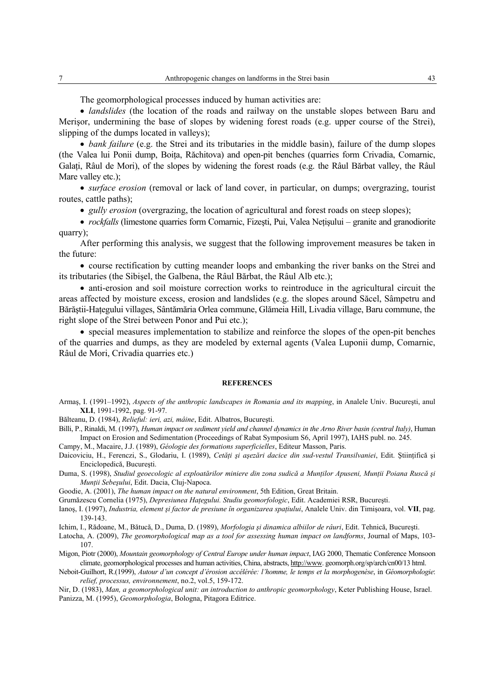The geomorphological processes induced by human activities are:

• *landslides* (the location of the roads and railway on the unstable slopes between Baru and Merişor, undermining the base of slopes by widening forest roads (e.g. upper course of the Strei), slipping of the dumps located in valleys);

• *bank failure* (e.g. the Strei and its tributaries in the middle basin), failure of the dump slopes (the Valea lui Ponii dump, Boiţa, Răchitova) and open-pit benches (quarries form Crivadia, Comarnic, Galați, Râul de Mori), of the slopes by widening the forest roads (e.g. the Râul Bărbat valley, the Râul Mare valley etc.);

• *surface erosion* (removal or lack of land cover, in particular, on dumps; overgrazing, tourist routes, cattle paths);

• *gully erosion* (overgrazing, the location of agricultural and forest roads on steep slopes);

• *rockfalls* (limestone quarries form Comarnic, Fizeşti, Pui, Valea Neţişului – granite and granodiorite quarry);

After performing this analysis, we suggest that the following improvement measures be taken in the future:

• course rectification by cutting meander loops and embanking the river banks on the Strei and its tributaries (the Sibişel, the Galbena, the Râul Bărbat, the Râul Alb etc.);

• anti-erosion and soil moisture correction works to reintroduce in the agricultural circuit the areas affected by moisture excess, erosion and landslides (e.g. the slopes around Săcel, Sâmpetru and Bărăștii-Hațegului villages, Sântămăria Orlea commune, Glămeia Hill, Livadia village, Baru commune, the right slope of the Strei between Ponor and Pui etc.);

• special measures implementation to stabilize and reinforce the slopes of the open-pit benches of the quarries and dumps, as they are modeled by external agents (Valea Luponii dump, Comarnic, Râul de Mori, Crivadia quarries etc.)

#### **REFERENCES**

Armaş, I. (1991–1992), *Aspects of the anthropic landscapes in Romania and its mapping*, in Analele Univ. Bucureşti, anul **XLI**, 1991-1992, pag. 91-97.

Bălteanu, D. (1984), *Relieful: ieri, azi, mâine*, Edit. Albatros, Bucureşti.

Billi, P., Rinaldi, M. (1997), *Human impact on sediment yield and channel dynamics in the Arno River basin (central Italy)*, Human Impact on Erosion and Sedimentation (Proceedings of Rabat Symposium S6, April 1997), IAHS publ. no. 245.

Campy, M., Macaire, J.J. (1989), *Géologie des formations superficielles*, Editeur Masson, Paris.

- Daicoviciu, H., Ferenczi, S., Glodariu, I. (1989), *Cetăți și așezări dacice din sud-vestul Transilvaniei*, Edit. Științifică și Enciclopedică, Bucureşti.
- Duma, S. (1998), *Studiul geoecologic al exploatărilor miniere din zona sudică a Muntilor Apuseni, Muntii Poiana Ruscă și Munţii Sebeşului*, Edit. Dacia, Cluj-Napoca.

Goodie, A. (2001), *The human impact on the natural environment*, 5th Edition, Great Britain.

- Grumăzescu Cornelia (1975), *Depresiunea Haţegului. Studiu geomorfologic*, Edit. Academiei RSR, Bucureşti.
- Ianoş, I. (1997), *Industria, element şi factor de presiune în organizarea spaţiului*, Analele Univ. din Timişoara, vol. **VII**, pag. 139-143.

Ichim, I., Rădoane, M., Bătucă, D., Duma, D. (1989), *Morfologia şi dinamica albiilor de râuri*, Edit. Tehnică, Bucureşti.

- Latocha, A. (2009), *The geomorphological map as a tool for assessing human impact on landforms*, Journal of Maps, 103- 107.
- Migon, Piotr (2000), *Mountain geomorphology of Central Europe under human impact*, IAG 2000, Thematic Conference Monsoon climate, geomorphological processes and human activities, China, abstracts, http://www. geomorph.org/sp/arch/cn00/13 html.
- Neboit-Guilhort, R.(1999), *Autour d'un concept d'érosion accélérée: l'homme, le temps et la morphogenèse*, in *Géomorphologie*: *relief, processus, environnement*, no.2, vol.5, 159-172.

Nir, D. (1983), *Man, a geomorphological unit: an introduction to anthropic geomorphology*, Keter Publishing House, Israel. Panizza, M. (1995), *Geomorphologia*, Bologna, Pitagora Editrice.